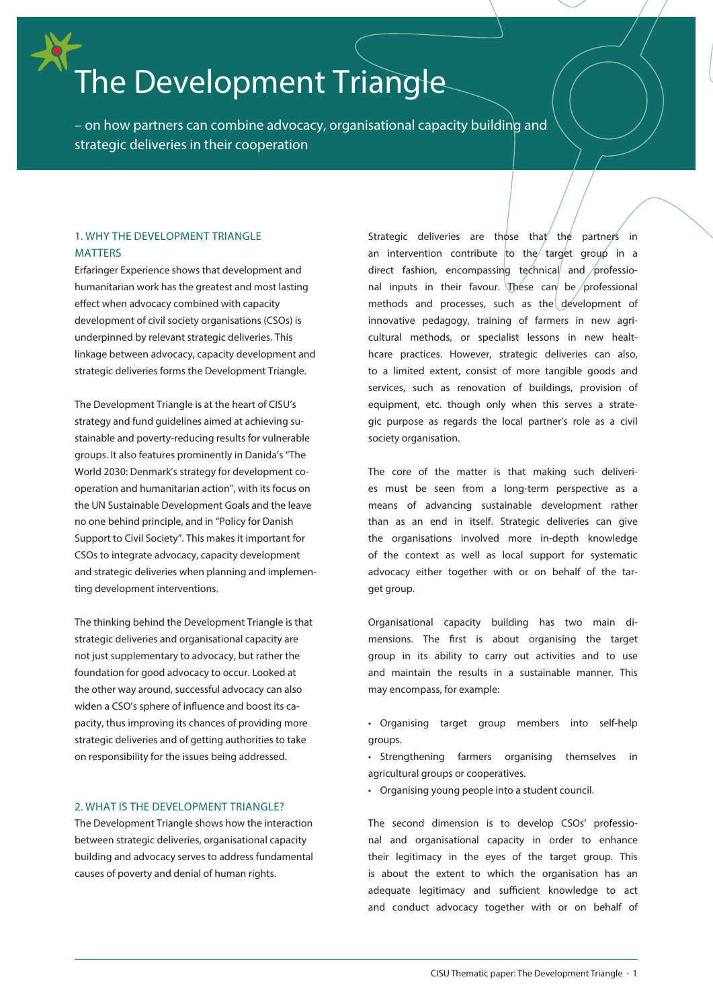# The Development Triangle

– on how partners can combine advocacy, organisational capacity building and strategic deliveries in their cooperation

## 1. WHY THE DEVELOPMENT TRIANGLE **MATTERS**

Erfaringer Experience shows that development and humanitarian work has the greatest and most lasting effect when advocacy combined with capacity development of civil society organisations (CSOs) is underpinned by relevant strategic deliveries. This linkage between advocacy, capacity development and strategic deliveries forms the Development Triangle.

The Development Triangle is at the heart of CISU's strategy and fund guidelines aimed at achieving sustainable and poverty-reducing results for vulnerable groups. It also features prominently in Danida's "The World 2030: Denmark's strategy for development cooperation and humanitarian action", with its focus on the UN Sustainable Development Goals and the leave no one behind principle, and in "Policy for Danish Support to Civil Society". This makes it important for CSOs to integrate advocacy, capacity development and strategic deliveries when planning and implementing development interventions.

The thinking behind the Development Triangle is that strategic deliveries and organisational capacity are not just supplementary to advocacy, but rather the foundation for good advocacy to occur. Looked at the other way around, successful advocacy can also widen a CSO's sphere of influence and boost its capacity, thus improving its chances of providing more strategic deliveries and of getting authorities to take on responsibility for the issues being addressed.

## 2. WHAT IS THE DEVELOPMENT TRIANGLE?

The Development Triangle shows how the interaction between strategic deliveries, organisational capacity building and advocacy serves to address fundamental causes of poverty and denial of human rights.

Strategic deliveries are those that the partners in an intervention contribute to the target group in a direct fashion, encompassing technical and professional inputs in their favour. These can be professional methods and processes, such as the development of innovative pedagogy, training of farmers in new agricultural methods, or specialist lessons in new healthcare practices. However, strategic deliveries can also, to a limited extent, consist of more tangible goods and services, such as renovation of buildings, provision of equipment, etc. though only when this serves a strategic purpose as regards the local partner's role as a civil society organisation.

The core of the matter is that making such deliveries must be seen from a long-term perspective as a means of advancing sustainable development rather than as an end in itself. Strategic deliveries can give the organisations involved more in-depth knowledge of the context as well as local support for systematic advocacy either together with or on behalf of the target group.

Organisational capacity building has two main dimensions. The first is about organising the target group in its ability to carry out activities and to use and maintain the results in a sustainable manner. This may encompass, for example:

- Organising target group members into self-help groups.
- Strengthening farmers organising themselves in agricultural groups or cooperatives.
- Organising young people into a student council.

The second dimension is to develop CSOs' professional and organisational capacity in order to enhance their legitimacy in the eyes of the target group. This is about the extent to which the organisation has an adequate legitimacy and sufficient knowledge to act and conduct advocacy together with or on behalf of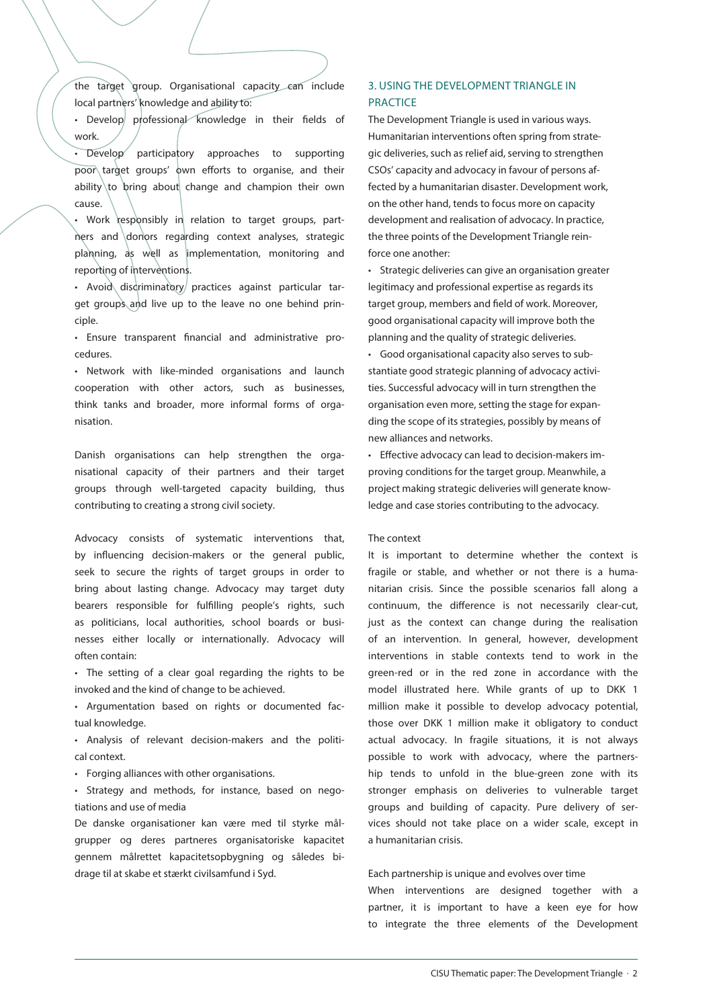the target group. Organisational capacity can include local partners' knowledge and ability to:

• Develop professional knowledge in their fields of work.

Develop participatory approaches to supporting poor target groups' own efforts to organise, and their ability to bring about change and champion their own cause.

• Work responsibly in relation to target groups, partners and donors regarding context analyses, strategic planning, as well as implementation, monitoring and reporting of interventions.

• Avoid disdriminatory practices against particular target groups and live up to the leave no one behind principle.

• Ensure transparent financial and administrative procedures.

• Network with like-minded organisations and launch cooperation with other actors, such as businesses, think tanks and broader, more informal forms of organisation.

Danish organisations can help strengthen the organisational capacity of their partners and their target groups through well-targeted capacity building, thus contributing to creating a strong civil society.

Advocacy consists of systematic interventions that, by influencing decision-makers or the general public, seek to secure the rights of target groups in order to bring about lasting change. Advocacy may target duty bearers responsible for fulfilling people's rights, such as politicians, local authorities, school boards or businesses either locally or internationally. Advocacy will often contain:

• The setting of a clear goal regarding the rights to be invoked and the kind of change to be achieved.

• Argumentation based on rights or documented factual knowledge.

• Analysis of relevant decision-makers and the political context.

• Forging alliances with other organisations.

• Strategy and methods, for instance, based on negotiations and use of media

De danske organisationer kan være med til styrke målgrupper og deres partneres organisatoriske kapacitet gennem målrettet kapacitetsopbygning og således bidrage til at skabe et stærkt civilsamfund i Syd.

## 3. USING THE DEVELOPMENT TRIANGLE IN PRACTICE

The Development Triangle is used in various ways. Humanitarian interventions often spring from strategic deliveries, such as relief aid, serving to strengthen CSOs' capacity and advocacy in favour of persons affected by a humanitarian disaster. Development work, on the other hand, tends to focus more on capacity development and realisation of advocacy. In practice, the three points of the Development Triangle reinforce one another:

• Strategic deliveries can give an organisation greater legitimacy and professional expertise as regards its target group, members and field of work. Moreover, good organisational capacity will improve both the planning and the quality of strategic deliveries.

• Good organisational capacity also serves to substantiate good strategic planning of advocacy activities. Successful advocacy will in turn strengthen the organisation even more, setting the stage for expanding the scope of its strategies, possibly by means of new alliances and networks.

• Effective advocacy can lead to decision-makers improving conditions for the target group. Meanwhile, a project making strategic deliveries will generate knowledge and case stories contributing to the advocacy.

#### The context

It is important to determine whether the context is fragile or stable, and whether or not there is a humanitarian crisis. Since the possible scenarios fall along a continuum, the difference is not necessarily clear-cut, just as the context can change during the realisation of an intervention. In general, however, development interventions in stable contexts tend to work in the green-red or in the red zone in accordance with the model illustrated here. While grants of up to DKK 1 million make it possible to develop advocacy potential, those over DKK 1 million make it obligatory to conduct actual advocacy. In fragile situations, it is not always possible to work with advocacy, where the partnership tends to unfold in the blue-green zone with its stronger emphasis on deliveries to vulnerable target groups and building of capacity. Pure delivery of services should not take place on a wider scale, except in a humanitarian crisis.

#### Each partnership is unique and evolves over time

When interventions are designed together with a partner, it is important to have a keen eye for how to integrate the three elements of the Development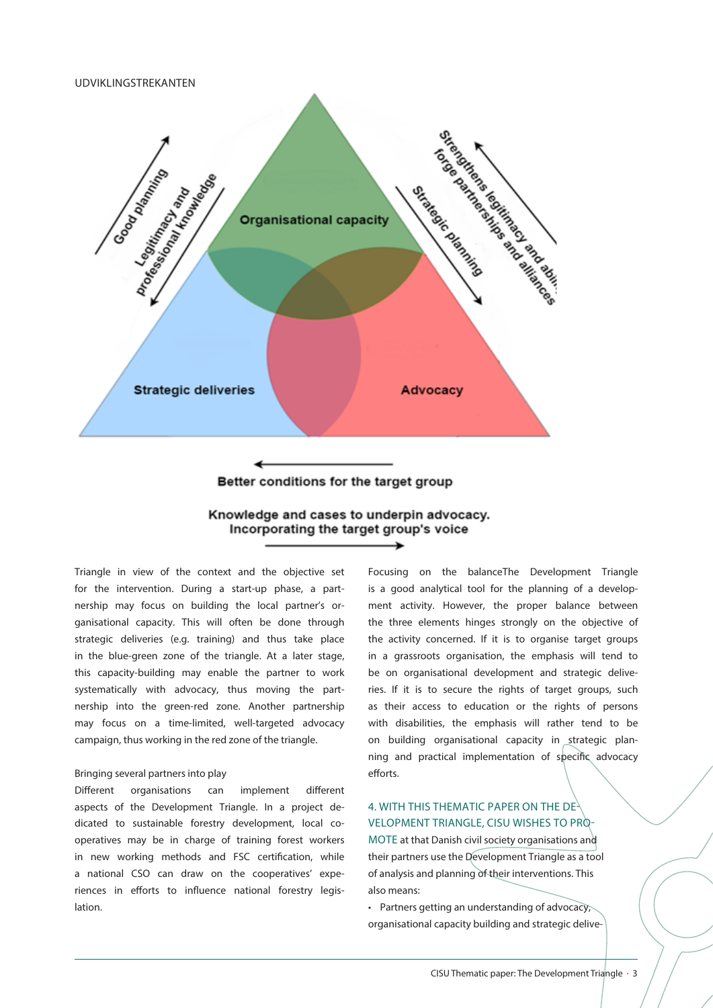UDVIKLINGSTREKANTEN



## Better conditions for the target group

## Knowledge and cases to underpin advocacy. Incorporating the target group's voice

Triangle in view of the context and the objective set for the intervention. During a start-up phase, a partnership may focus on building the local partner's organisational capacity. This will often be done through strategic deliveries (e.g. training) and thus take place in the blue-green zone of the triangle. At a later stage, this capacity-building may enable the partner to work systematically with advocacy, thus moving the partnership into the green-red zone. Another partnership may focus on a time-limited, well-targeted advocacy campaign, thus working in the red zone of the triangle.

## Bringing several partners into play

Different organisations can implement different aspects of the Development Triangle. In a project dedicated to sustainable forestry development, local cooperatives may be in charge of training forest workers in new working methods and FSC certification, while a national CSO can draw on the cooperatives' experiences in efforts to influence national forestry legislation.

Focusing on the balanceThe Development Triangle is a good analytical tool for the planning of a development activity. However, the proper balance between the three elements hinges strongly on the objective of the activity concerned. If it is to organise target groups in a grassroots organisation, the emphasis will tend to be on organisational development and strategic deliveries. If it is to secure the rights of target groups, such as their access to education or the rights of persons with disabilities, the emphasis will rather tend to be on building organisational capacity in strategic planning and practical implementation of specific advocacy efforts.

## 4. WITH THIS THEMATIC PAPER ON THE DE-VELOPMENT TRIANGLE, CISU WISHES TO PRO-

MOTE at that Danish civil society organisations and their partners use the Development Triangle as a tool of analysis and planning of their interventions. This also means:

• Partners getting an understanding of advocacy, organisational capacity building and strategic delive